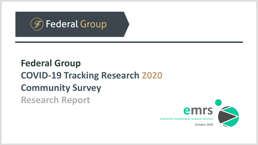

# **Federal Group COVID-19 Tracking Research 2020 Community Survey**

**Research Report**

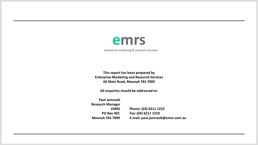

enterprise marketing & research services

**This report has been prepared by Enterprise Marketing and Research Services 60 Main Road, Moonah TAS 7009**

**All enquiries should be addressed to:**

**Paul Jamrozik Research Manager EMRS Phone: (03) 6211 1222 PO Box 402 Fax: (03) 6211 1219 Moonah TAS 7009 E-mail: paul.jamrozik@emrs.com.au**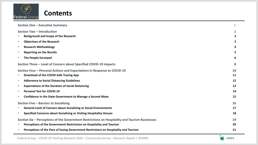

 $\mathbf{r}$ 

| <b>Section One - Executive Summary</b>                                                         |    |
|------------------------------------------------------------------------------------------------|----|
| Section Two - Introduction                                                                     | 1  |
| <b>Background and Scope of the Research</b>                                                    | 2  |
| <b>Objectives of the Research</b><br>п                                                         | 3  |
| <b>Research Methodology</b><br>п                                                               | 4  |
| <b>Reporting on the Results</b><br>п                                                           | 5  |
| <b>The People Surveyed</b><br>Ш                                                                | 6  |
| Section Three - Level of Concern about Specified COVID-19 Impacts                              | 8  |
| Section Four – Personal Actions and Expectations in Response to COVID-19                       | 10 |
| Download of the COVID-Safe Tracing App                                                         | 11 |
| <b>Adherence to Social Distancing Guidelines</b><br>п                                          | 12 |
| <b>Expectations of the Duration of Social Distancing</b><br>п                                  | 13 |
| <b>Personal Test for COVID-19</b><br>п                                                         | 14 |
| Confidence in the State Government to Manage a Second Wave<br>ш                                | 15 |
| Section Five - Barriers to Socialising                                                         | 16 |
| <b>General Level of Concern about Socialising or Social Environments</b>                       | 17 |
| <b>Specified Concerns about Socialising or Visiting Hospitality Venues</b><br>Ш                | 18 |
| Section Six – Perceptions of the Government Restrictions on Hospitality and Tourism Businesses | 19 |
| Perceptions of the Government Restrictions on Hospitality and Tourism<br>m.                    | 20 |
| Perceptions of the Pace of Easing Government Restrictions on Hospitality and Tourism           | 21 |

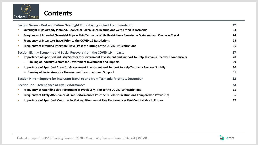

### **Contents**

| Section Seven – Past and Future Overnight Trips Staying in Paid Accommodation                                              | 22 |
|----------------------------------------------------------------------------------------------------------------------------|----|
| Overnight Trips Already Planned, Booked or Taken Since Restrictions were Lifted in Tasmania<br>m.                          | 23 |
| Frequency of Intended Overnight Trips within Tasmania While Restrictions Remain on Mainland and Overseas Travel<br>U.      | 24 |
| Frequency of Interstate Travel Prior to the COVID-19 Restrictions<br>U.                                                    | 25 |
| Frequency of Intended Interstate Travel Post the Lifting of the COVID-19 Restrictions<br>U.                                | 26 |
| Section Eight – Economic and Social Recovery from the COVID-19 Impacts                                                     | 27 |
| Importance of Specified Industry Sectors for Government Investment and Support to Help Tasmania Recover Economically<br>U. | 28 |
| - Ranking of Industry Sectors for Government Investment and Support                                                        | 29 |
| Importance of Specified Areas for Government Investment and Support to Help Tasmania Recover Socially<br>a.                | 30 |
| - Ranking of Social Areas for Government Investment and Support                                                            | 31 |
| Section Nine – Support for Interstate Travel to and from Tasmania Prior to 1 December                                      | 32 |
| Section Ten - Attendance at Live Performances                                                                              | 34 |
| Frequency of Attending Live Performances Previously Prior to the COVID-19 Restrictions<br>Ш                                | 35 |
| Frequency of Likely Attendance at Live Performances Post the COVID-19 Restrictions Compared to Previously<br>U.            | 36 |
| Importance of Specified Measures in Making Attendees at Live Performances Feel Comfortable in Future<br>U.                 | 37 |

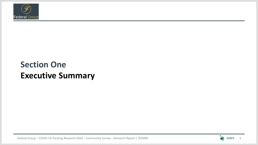

## **Section One Executive Summary**

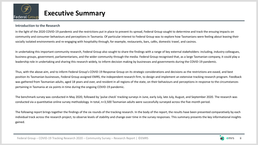

### **Introduction to the Research**

In the light of the 2020 COVID-19 pandemic and the restrictions put in place to prevent its spread, Federal Group sought to determine and track the ensuing impacts on community and consumer behaviours and perceptions in Tasmania. Of particular interest to Federal Group was to explore how Tasmanians were feeling about leaving their socially isolated environments and re-engaging with hospitality through, for example, restaurants, bars, cafés, domestic travel, and casinos.

In undertaking this important community research, Federal Group also sought to share the findings with a range of key external stakeholders: including, industry colleagues, business groups, government, parliamentarians, and the wider community through the media. Federal Group recognised that, as a large Tasmanian company, it could play a leadership role in undertaking and sharing this research widely, to inform decision making by businesses and governments during the COVID-19 pandemic.

Thus, with the above aim, and to inform Federal Group's COVID-19 Response Group on its strategic considerations and decisions as the restrictions are eased, and best position its Tasmanian businesses, Federal Group assigned EMRS, the independent research firm, to design and implement an extensive tracking research program. Feedback was gathered from Tasmanian adults, aged 18 years and over, and resident in all regions of the state, on their behaviours and perceptions in response to the circumstances pertaining in Tasmania at six points in time during the ongoing COVID-19 pandemic.

The benchmark survey was conducted in May 2020, followed by 'pulse check' tracking surveys in June, early July, late July, August, and September 2020. The research was conducted via a quantitative online survey methodology. In total, n=3,500 Tasmanian adults were successfully surveyed across the five-month period.

The following report brings together the findings of the six rounds of the tracking research. In the body of the report, the results have been presented comparatively by each individual track across the research project, to observe levels of stability and change over time in the survey responses. This summary presents the key informational insights gained.

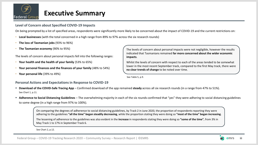

### **Level of Concern about Specified COVID-19 Impacts**

On being prompted by a list of specified areas, respondents were significantly more likely to be concerned about the impact of COVID-19 and the current restrictions on:

- **Local businesses** (with the total concerned in a high range from 89% to 97% across the six research rounds)
- **The loss of Tasmanian jobs** (93% to 96%)
- **The Tasmanian economy** (90% to 95%)

The levels of concern about personal impacts fell into the following ranges:

- **Your health and the health of your family** (53% to 65%)
- **Your personal finances and the finances of your family** (48% to 54%)
- **Your personal life** (39% to 49%)

The levels of concern about personal impacts were not negligible, however the results indicated that Tasmanians remained **far more concerned about the wider economic impacts**.

Whilst the levels of concern with respect to each of the areas tended to be somewhat lower in the most recent September track, compared to the first May track, there were **no clear trends of change** to be noted over time.

See Table 5, p.9.

### **Personal Actions and Expectations in Response to COVID-19**

- **Download of the COVID-Safe Tracing App**  Confirmed download of the app remained **steady** across all six research rounds (in a range from 47% to 51%). See Chart 1, p.11.
- **EXTH Adherence to Social Distancing Guidelines** The overwhelming majority in each of the six rounds confirmed that "yes" they were adhering to social distancing guidelines to some degree (in a high range from 97% to 100%).

On comparing the degrees of adherence to social distancing guidelines, by Track 2 in June 2020, the proportion of respondents reporting they were adhering to the guidelines **"all the time" began steadily decreasing**, while the proportion stating they were doing so **"most of the time" began increasing**.

The lessening of adherence to the guidelines was also evident in the **increase** in respondents stating they were doing so **"some of the time"**, from 3% in May Track 1 to 17% in September Track 6.

See Chart 2, p.12.

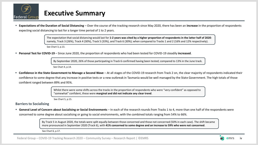

■ Expectations of the Duration of Social Distancing – Over the course of the tracking research since May 2020, there has been an increase in the proportion of respondents expecting social distancing to last for a longer time period of 1 to 2 years.

> The expectation that social distancing would last for **1-2 years was cited by a higher proportion of respondents in the latter half of 2020**: namely, Track 3 (26%), Track 4 (30%), Track 5 (33%), and Track 6 (30%); when compared to Tracks 1 and 2 (16% and 12% respectively).

See Chart 3, p.13.

▪ **Personal Test for COVID-19** – Since June 2020, the proportion of respondents who had been tested for COVID-19 steadily **increased**.

By September 2020, 26% of those participating in Track 6 confirmed having been tested; compared to 13% in the June track.

See Chart 4, p.14.

■ **Confidence in the State Government to Manage a Second Wave** – At all stages of the COVID-19 research from Track 2 on, the clear majority of respondents indicated their confidence to some degree that any increase in positive tests or a new outbreak in Tasmania would be well managed by the State Government. The high totals of those confident ranged between 89% and 95%.

> Whilst there were some shifts across the tracks in the proportion of respondents who were "very confident" as opposed to "somewhat" confident, these were **marginal and did not indicate any clear trend**.

See Chart 5, p.15.

### **Barriers to Socialising**

**Example 20 and Terron about Socialising or Social Environments** – In each of the research rounds from Tracks 1 to 4, more than one half of the respondents were

concerned to some degree about socialising or going to social environments, with the combined totals ranging from 54% to 66%.

By Track 5 in August 2020, the totals were split equally between those concerned and those not concerned (50% in each case). The shift became more pronounced in September 2020 (Track 6), with **41% concerned to some degree and an increase to 59% who were not concerned**.

See Chart 6, p.17.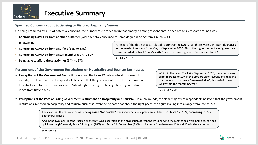

**Specified Concerns about Socialising or Visiting Hospitality Venues**

On being prompted by a list of potential concerns, the primary cause for concern that emerged among respondents in each of the six research rounds was:

• **Contracting COVID-19 from another customer** (with the total concerned to some degree ranging from 43% to 67%)

followed by:

- **Contracting COVID-19 from a surface** (33% to 55%)
- **Contracting COVID-19 from a staff member** (32% to 50%)
- **Being able to afford these activities** (34% to 37%)

For each of the three aspects related to **contracting COVID-19**, there were significant **decreases in the levels of concern** from May to September 2020. Thus, the higher percentage figures here were recorded in Track 1 in May 2020, and the lower figures in September Track 6.

See Table 6, p.18.

**Perceptions of the Government Restrictions on Hospitality and Tourism Businesses**

**• Perceptions of the Government Restrictions on Hospitality and Tourism** – In all six research rounds, the clear majority of respondents believed that the government restrictions imposed on hospitality and tourism businesses were "about right", the figures falling into a high and close range from 84% to 88%.

Whilst in the latest Track 6 in September 2020, there was a very **slight increase** to 12% in the proportion of respondents thinking that the restrictions were **"too restrictive",** this variation was well **within the margin of error**.

See Chart 7, p.20.

Perceptions of the Pace of Easing Government Restrictions on Hospitality and Tourism - In all six rounds, the clear majority of respondents believed that the government restrictions imposed on hospitality and tourism businesses were being eased "at about the right pace", the figures falling into a range from 69% to 77%.

> The view that the restrictions were being **eased "too quickly"** was somewhat more prevalent in May 2020 Track 1 at 18%, **decreasing** to 5% in September Track 6.

And in the two most recent tracks, a slight shift was discernible in the proportion of respondents believing the restrictions were being eased **"not quickly enough"**, namely Track 5 in August (18%) and Track 6 in September (23%), an **increase** from between 10% and 12% in the earlier rounds.

See Chart 8, p.21.

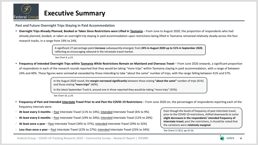

**Past and Future Overnight Trips Staying in Paid Accommodation**

**EXP** Overnight Trips Already Planned, Booked or Taken Since Restrictions were Lifted in Tasmania – From June to August 2020, the proportion of respondents who had already planned, booked, or taken an overnight trip staying in paid accommodation upon restrictions being lifted in Tasmania remained relatively steady across the four research tracks, in a range from 19% to 24%.

> A significant 27 percentage-point **increase** subsequently emerged, from **24% in August 2020 up to 51% in September 2020**, reflecting an encouraging rebound in the intrastate travel market.

See Chart 9, p.23.

**EXTED FREQUENCY of Intended Overnight Trips within Tasmania While Restrictions Remain on Mainland and Overseas Travel – From June 2020 onwards, a significant proportion** of respondents in each of the research rounds reported that they would be taking "more trips" within Tasmania staying in paid accommodation, with a range of between 24% and 40%. These figures were somewhat exceeded by those intending to take "about the same" number of trips, with the range falling between 41% and 57%.

> In the August 2020 round, the **margin narrowed significantly** between those stating **"about the same"** number of trips (41%) and those stating **"more trips"** (40%).

In the latest September Track 6, around one in three reported they would be taking "more trips" (35%).

See Chart 10, p.24.

■ Frequency of Past and Intended Interstate Travel Prior to and Post the COVID-19 Restrictions – From June 2020 on, the percentages of respondents reporting each of the frequency intervals were:

- **At least every 3 months** Past Interstate Travel (11% to 14%); Intended Interstate Travel (6% to 9%)
- **At least every 6 months** Past Interstate Travel (19% to 24%); Intended Interstate Travel (12% to 20%)
- **At least once a year**  Past Interstate Travel (34% to 37%); Intended Interstate Travel (29% to 32%)
- **Less than once a year** Past Interstate Travel (22% to 27%); Intended Interstate Travel (25% to 34%)

Even though the levels of frequency of past interstate travel, prior to the COVID-19 restrictions, shifted downwards to some **slight decreases in the respondents' intended frequency of interstate travel**, post the restrictions, it should be noted that the variations were **relatively marginal**.

See Charts 11 &12, pp.25-26.

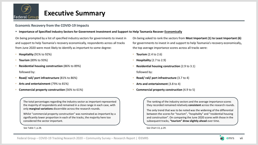

### **Economic Recovery from the COVID-19 Impacts**

#### ▪ **Importance of Specified Industry Sectors for Government Investment and Support to Help Tasmania Recover Economically**

On being prompted by a list of specified industry sectors for governments to invest in and support to help Tasmania's recovery economically, respondents across all tracks from June 2020 were most likely to identify as important to some degree:

- **Hospitality** (91% to 92%)
- **Tourism** (89% to 93%)
- **Residential housing construction** (86% to 89%) followed by:
- **Road/ rail/ port infrastructure** (81% to 86%)
- **Arts and entertainment** (79% to 81%)
- **Commercial property construction** (56% to 61%)

The total percentages regarding the industry sector as important represented the majority of respondents and remained in a close range in each case, with only **marginal variations** discernible across the research rounds.

Whilst "commercial property construction" was nominated as important by a significantly lower proportion in each of the tracks, the majority here too considered the sector important.

See Table 7, p.28.

On being asked to rank the sectors from **Most Important (1) to Least Important (6)**  for governments to invest in and support to help Tasmania's recovery economically**,** the top average importance scores across all tracks were:

- **Tourism** (2.4 to 2.6)
- **Hospitality** (2.7 to 2.9)
- **Residential housing construction** (2.9 to 3.1) followed by:
- **Road/ rail/ port infrastructure** (3.7 to 4)
- **Arts and entertainment** (3.8 to 4)
- **Commercial property construction** (4.9 to 5)

The ranking of the industry sectors and the average importance scores they recorded remained relatively **consistent** across the research rounds.

The only trend that was to be noted was the widening of the differential between the scores for "tourism", "hospitality" and "residential housing and construction". On comparing the June 2020 scores with those in the subsequent tracks, **"tourism" drew slightly ahead** over time.

See Chart 13, p.29.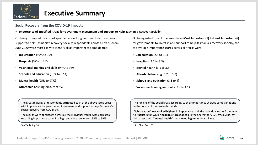

### **Social Recovery from the COVID-19 Impacts**

#### ▪ **Importance of Specified Areas for Government Investment and Support to Help Tasmania Recover Socially**

On being prompted by a list of specified areas for governments to invest in and support to help Tasmania's recovery socially, respondents across all tracks from June 2020 were most likely to identify all as important to some degree:

- **Job creation** (97% to 99%)
- **Hospitals** (97% to 99%)
- **Vocational training and skills** (94% to 98%)
- **Schools and education** (96% to 97%)
- **Mental health** (95% to 97%)
- **Affordable housing** (94% to 96%)

On being asked to rank the areas from **Most Important (1) to Least Important (6)**  for governments to invest in and support to help Tasmania's recovery socially**,** the top average importance scores across all tracks were:

- **Job creation** (2.5 to 3.1)
- **Hospitals** (2.7 to 3.3)
- **Mental health** (3.5 to 3.8)
- **Affordable housing** (3.7 to 3.9)
- **Schools and education** (3.8 to 4)
- **Vocational training and skills** (3.7 to 4.1)

The great majority of respondents attributed each of the above listed areas with importance for government investment and support to help Tasmania's social recovery from COVID-19.

The results were **consistent** across all the individual tracks, with each area recording importance totals in a high and close range from 94% to 99%.

See Table 8, p.30.

The ranking of the social areas according to their importance showed some variations in the course of the research rounds.

**"Job creation" was ranked highest in importance** in all the individual tracks from June to August 2020, while **"hospitals" drew ahead** in the September 2020 track. Also, by this latest track, **"mental health" had moved higher** in the rankings.

See Chart 14, p.31.

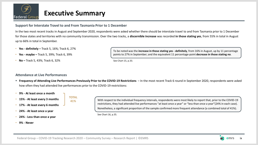

### **Support for Interstate Travel to and From Tasmania Prior to 1 December**

**TOTAL**

In the two most recent tracks in August and September 2020, respondents were asked whether there should be interstate travel to and from Tasmania prior to 1 December for those states and territories with no community transmission. Over the two tracks, a **discernible increase** was recorded **in those stating yes**, from 55% in total in August up to 66% in total in September.

- **Yes - definitely –** Track 5, 16%; Track 6, 27%
- **Yes - maybe –** Track 5, 39%; Track 6, 39%
- **No –** Track 5, 43%; Track 6, 32%

### To be noted was the **increase in those stating yes - definitely**, from 16% in August, up by 11 percentage points to 27% in September; and the equivalent 11 percentage-point **decrease in those stating no**.

See Chart 15, p.33.

### **Attendance at Live Performances**

- Frequency of Attending Live Performances Previously Prior to the COVID-19 Restrictions In the most recent Track 6 round in September 2020, respondents were asked how often they had attended live performances prior to the COVID-19 restrictions:
- **9% - At least once a month**
- **15% - At least every 3 months**
- **17% - At least every 6 months**
- **24% - At least once a year**
- **24% - Less than once a year**
- **9% - Never**

**41%** With respect to the individual frequency intervals, respondents were most likely to report that, prior to the COVID-19 restrictions, they had attended live performances "at least once a year" or "less than once a year"(24% in each case). Nonetheless, a significant proportion of the sample confirmed more frequent attendance (a combined total of 41%).

See Chart 16, p.35.

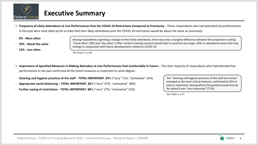

- **Frequency of Likely Attendance at Live Performances Post the COVID-19 Restrictions Compared to Previously** Those respondents who had attended live performances in the past were most likely by far to state that their likely attendance post the COVID-19 restrictions would be about the same as previously:
- **9% - More often**
- **70% - About the same**
- **14% - Less often**

Among respondents reporting a change to their likely attendance, there was only a marginal difference between the proportions stating "more often" (9%) and "less often" (14%). Further tracking research would help to ascertain any larger shifts in attendance levels that may emerge in conjunction with future developments related to COVID-19.

See Chart 17, p.36.

- **EXTED THE IMPORTATES IN MEASURES IN Making Attendees at Live Performances Feel Comfortable in Future** The clear majority of respondents who had attended live performances in the past confirmed all the listed measures as important to some degree:
- **Cleaning and hygiene practices of the staff TOTAL IMPORTANT**, **95**% ("very" 71%; "somewhat" 24%)
- **Appropriate social distancing TOTAL IMPORTANT**, **85**% ("very" 47%; "somewhat" 39%)
- **Further easing of restrictions TOTAL IMPORTANT**, **80**% ("very" 27%; "somewhat" 52%)

The "cleaning and hygiene practices of the staff and venue" emerged as the most critical measure, confirmed by 95% in total as important, among whom the greatest proportion by far stated it was "very important" (71%).

See Table 9, p.37.

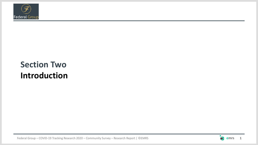

## **Section Two Introduction**

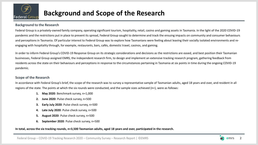

### **Background to the Research**

Federal Group is a privately-owned family company, operating significant tourism, hospitality, retail, casino and gaming assets in Tasmania. In the light of the 2020 COVID-19 pandemic and the restrictions put in place to prevent its spread, Federal Group sought to determine and track the ensuing impacts on community and consumer behaviours and perceptions in Tasmania. Of particular interest to Federal Group was to explore how Tasmanians were feeling about leaving their socially isolated environments and reengaging with hospitality through, for example, restaurants, bars, cafés, domestic travel, casinos, and gaming.

In order to inform Federal Group's COVID-19 Response Group on its strategic considerations and decisions as the restrictions are eased, and best position their Tasmanian businesses, Federal Group assigned EMRS, the independent research firm, to design and implement an extensive tracking research program, gathering feedback from residents across the state on their behaviours and perceptions in response to the circumstances pertaining in Tasmania at six points in time during the ongoing COVID-19 pandemic.

### **Scope of the Research**

In accordance with Federal Group's brief, the scope of the research was to survey a representative sample of Tasmanian adults, aged 18 years and over, and resident in all regions of the state. The points at which the six rounds were conducted, and the sample sizes achieved (n=), were as follows:

- **1. May 2020**: Benchmark survey, n=1,000
- **2. June 2020**: Pulse check survey, n=500
- **3. Early July 2020**: Pulse check survey, n=500
- **4. Late July 2020**: Pulse check survey, n=500
- **5. August 2020**: Pulse check survey, n=500
- **6. September 2020**: Pulse check survey, n=500

### In total, across the six tracking rounds, n=3,500 Tasmanian adults, aged 18 years and over, participated in the research.

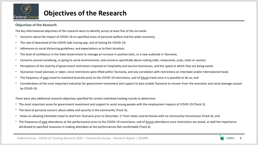

## **Objectives of the Research**

### **Objectives of the Research**

The key informational objectives of the research were to identify, across at least five of the six tracks:

- Concerns about the impact of COVID-19 on specified areas of personal welfare and the wider economy;
- The rate of download of the COVID-Safe tracing app, and of testing for COVID-19;
- Adherence to social distancing guidelines, and expectations as to their duration;
- The level of confidence in the State Government to manage an increase in positive tests, or a new outbreak in Tasmania;
- Concerns around socialising, or going to social environments, and concerns specifically about visiting cafés, restaurants, pubs, clubs or casinos;
- Perceptions of the severity of government restrictions imposed on hospitality and tourism businesses, and the speed at which they are being eased;
- Tasmanian travel planned, or taken, since restrictions were lifted within Tasmania, and any correlation with restrictions on interstate and/or international travel;
- The frequency of past travel to mainland Australia prior to the COVID-19 restrictions, and of future travel once it is possible to do so; and
- Consideration of the most important industries for government investment and support to best enable Tasmania to recover from the economic and social damage caused by COVID-19.

There were also additional research objectives specified for certain individual tracking rounds to determine:

- The most important areas for government investment and support to assist young people with the employment impacts of COVID-19 (Track 3);
- The level of personal concern about safety and security in the community (Track 4);
- Views on allowing interstate travel to and from Tasmania prior to December 1st from states and territories with no community transmission (Track 6); and
- The frequency of past attendance at live performances prior to the COVID-19 restrictions, and of future attendance once restrictions are eased, as well the importance attributed to specified measures in making attendees at live performances feel comfortable (Track 6).

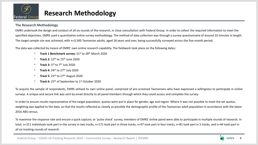

## **Research Methodology**

### **The Research Methodology**

EMRS undertook the design and conduct of all six rounds of the research, in close consultation with Federal Group. In order to collect the required information to meet the specified objectives, EMRS used a quantitative online survey methodology. The method of data collection was through a survey questionnaire of around 10 minutes in length. The target sample size was achieved, with n=3,500 Tasmanian adults, aged 18 years and over, being successfully surveyed across the five-month period.

The data was collected by means of EMRS' own online research capability. The fieldwork took place on the following dates:

- **Track 1 Benchmark survey:** 21st to 28th March 2020
- **Track 2:** 12th to 15th June 2020
- **Track 3:** 3<sup>rd</sup> to 7<sup>th</sup> July 2020
- **Track 4:** 24th to 27th July 2020
- **Track 5:** 23rd to 27th August 2020
- **Track 6:** 25<sup>th</sup> of September to 1<sup>st</sup> October 2020

To acquire the sample of respondents, EMRS utilised its own online panel, comprised of pre-screened Tasmanians who have expressed a willingness to participate in online surveys. A unique and secure link was sent by email directly to all panel members through which they could access and complete the survey.

In order to ensure results representative of the target population, quotas were put in place for gender, age and region. Where it was not possible to meet the set quotas, weighting was applied to the data, so that the results reflected as closely as possible the demographic profile of the Tasmanian adult population in accordance with the latest 2016 ABS census.

To maximise the response rate and ensure a quick capture, or 'pulse check' survey, members of EMRS' online panel were able to participate in multiple rounds of research. In total, n=311 individuals took part in the survey in two tracks, n=171 took part in three tracks, n=97 took part in four tracks, n=81 took part in 5 tracks, and n=44 took part in all six tracking rounds of research.

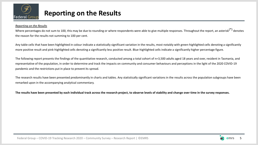

## **Reporting on the Results**

#### *Reporting on the Results*

Where percentages do not sum to 100, this may be due to rounding or where respondents were able to give multiple responses. Throughout the report, an asterisk<sup>(\*)</sup> denotes the reason for the results not summing to 100 per cent.

Any table cells that have been highlighted in colour indicate a statistically significant variation in the results, most notably with green-highlighted cells denoting a significantly more positive result and pink-highlighted cells denoting a significantly less positive result. Blue-highlighted cells indicate a significantly higher percentage figure.

The following report presents the findings of the quantitative research, conducted among a total cohort of n=3,500 adults aged 18 years and over, resident in Tasmania, and representative of the population, in order to determine and track the impacts on community and consumer behaviours and perceptions in the light of the 2020 COVID-19 pandemic and the restrictions put in place to prevent its spread.

The research results have been presented predominantly in charts and tables. Any statistically significant variations in the results across the population subgroups have been remarked upon in the accompanying analytical commentary.

**The results have been presented by each individual track across the research project, to observe levels of stability and change over time in the survey responses.**

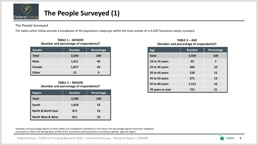

## **The People Surveyed (1)**

### **The People Surveyed**

The tables which follow provide a breakdown of the population subgroups within the total sample of n=3,500 Tasmanian adults surveyed.

| <b>Gender</b> | <b>Number</b> | Percentage |
|---------------|---------------|------------|
| <b>Total</b>  | 3,500         | 100        |
| <b>Male</b>   | 1,611         | 46         |
| Female        | 1,877         | 54         |
| <b>Other</b>  | 12            |            |

#### **TABLE 1 – GENDER (Number and percentage of respondents)†**

#### **TABLE 2 – REGION (Number and percentage of respondents)†**

| <b>Region</b>                 | <b>Number</b> | Percentage |
|-------------------------------|---------------|------------|
| <b>Total</b>                  | 3,500         | <b>100</b> |
| South                         | 1,818         | 52         |
| <b>North &amp; North East</b> | 871           | 25         |
| <b>North West &amp; West</b>  | 811           | 23         |

| Age              | <b>Number</b> | Percentage |
|------------------|---------------|------------|
| <b>Total</b>     | 3,500         | 100        |
| 18 to 24 years   | 93            | 3          |
| 25 to 34 years   | 366           | 10         |
| 35 to 44 years   | 528           | 15         |
| 45 to 54 years   | 671           | 19         |
| 55 to 69 years   | 1,121         | 32         |
| 70 years or over | 721           | 21         |

#### **TABLE 3 – AGE (Number and percentage of respondents)†**

†Number and percentage figures in these tables are unweighted. Elsewhere in the report, the percentage figures have been weighted accurately to reflect the demographic profile of the Tasmanian adult population according to gender, age and region.

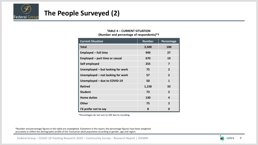

## **The People Surveyed (2)**

### **TABLE 4 – CURRENT SITUATION (Number and percentage of respondents)\*†**

| <b>Current Situation</b>          | <b>Number</b> | Percentage              |
|-----------------------------------|---------------|-------------------------|
| <b>Total</b>                      | 3,500         | 100                     |
| <b>Employed - full time</b>       | 949           | 27                      |
| Employed - part time or casual    | 670           | 19                      |
| Self employed                     | 255           | 7                       |
| Unemployed - but looking for work | 75            | $\overline{2}$          |
| Unemployed - not looking for work | 57            | $\overline{\mathbf{z}}$ |
| Unemployed - due to COVID-19      | 50            | 1                       |
| <b>Retired</b>                    | 1,158         | 33                      |
| <b>Student</b>                    | 73            | $\mathbf{z}$            |
| <b>Home duties</b>                | 130           | 4                       |
| <b>Other</b>                      | 75            | $\overline{2}$          |
| I'd prefer not to say             | 8             | O                       |

\*Percentages do not sum to 100 due to rounding.

†Number and percentage figures in this table are unweighted. Elsewhere in the report, the percentage figures have been weighted accurately to reflect the demographic profile of the Tasmanian adult population according to gender, age and region.

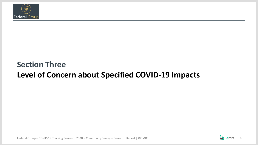

## **Section Three Level of Concern about Specified COVID-19 Impacts**

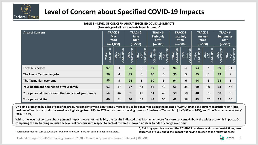

## **Level of Concern about Specified COVID-19 Impacts**

**TABLE 5 – LEVEL OF CONCERN ABOUT SPECIFIED COVID-19 IMPACTS**

**(Percentage of all respondents in each round)\***

| <b>Area of Concern</b>                                 |                                     | <b>TRACK 1</b><br><b>May</b><br>2020<br>$(n=1,000)$               |                                     | <b>TRACK 2</b><br>June<br>2020<br>$(n=500)$                    |                                    | <b>TRACK 3</b><br><b>Early July</b><br>2020<br>$(n=500)$ |                                    | <b>TRACK4</b><br>Late July<br>2020<br>$(n=500)$ |                           | <b>TRACK 5</b><br><b>August</b><br>2020<br>$(n=500)$             |                                       | <b>TRACK 6</b><br><b>September</b><br>2020<br>$(n=500)$ |
|--------------------------------------------------------|-------------------------------------|-------------------------------------------------------------------|-------------------------------------|----------------------------------------------------------------|------------------------------------|----------------------------------------------------------|------------------------------------|-------------------------------------------------|---------------------------|------------------------------------------------------------------|---------------------------------------|---------------------------------------------------------|
|                                                        | <b>NCERNED</b><br><b>TOTAL</b><br>S | <b>NCERNED</b><br><b>DTAL</b><br>$\overline{\text{S}}$<br>$\circ$ | TOTAL<br>INCERNED<br>$\overline{S}$ | CONCERNED<br><b>TOTAL</b><br>$\overline{\overline{\text{SD}}}$ | <b>NCERNED</b><br><b>UNIO</b><br>S | ONCERNED<br><u>TOTAL</u><br>$\overline{O}$               | <b>NCERNED</b><br><b>UTAL</b><br>S | CONCERNED<br><b>UTAL</b><br><b>TON</b>          | CONCERNED<br><b>TOTAL</b> | ш<br><b>NCERNE</b><br><b>TOTAL</b><br><b>NOT</b><br>$\circ$<br>Ō | TOTAL<br>NCERNED<br>$\circ$<br>$\cup$ | <b>NOT</b><br>CONCERNED<br><b>TOTAL</b>                 |
| <b>Local businesses</b>                                | 97                                  | 3                                                                 | 96                                  | 3                                                              | 94                                 | 6                                                        | 96                                 | $\overline{4}$                                  | 93                        | 7                                                                | 89                                    | 11                                                      |
| The loss of Tasmanian jobs                             | 96                                  | 4                                                                 | 95                                  | 5                                                              | 95                                 | 5                                                        | 96                                 | $\overline{3}$                                  | 95                        | 5                                                                | 93                                    | $\overline{7}$                                          |
| The Tasmanian economy                                  | 95                                  | 5                                                                 | 94                                  | 5                                                              | 90                                 | 8                                                        | 94                                 | 6                                               | 94                        | 6                                                                | 94                                    | 6                                                       |
| Your health and the health of your family              | 63                                  | 37                                                                | 57                                  | 43                                                             | 58                                 | 42                                                       | 65                                 | 35                                              | 60                        | 40                                                               | 53                                    | 47                                                      |
| Your personal finances and the finances of your family | 54                                  | 46                                                                | 51                                  | 49                                                             | 51                                 | 49                                                       | 50                                 | 50                                              | 48                        | 51                                                               | 50                                    | 50                                                      |
| Your personal life                                     | 49                                  | 51                                                                | 40                                  | 59                                                             | 44                                 | 56                                                       | 42                                 | 58                                              | 43                        | 57                                                               | 39                                    | 60                                                      |

**On being prompted by a list of specified areas, respondents were significantly more likely to be concerned about the impact of COVID-19 and the current restrictions on "local businesses" (with the total concerned in a high range from 89% to 97% across the six tracking rounds), "the loss of Tasmanian jobs" (93% to 96%), and "the Tasmanian economy" (90% to 95%).** 

**Whilst the levels of concern about personal impacts were not negligible, the results indicated that Tasmanians were far more concerned about the wider economic impacts. On comparing the six tracking rounds, the levels of concern with respect to each of the areas showed no clear trends of change over time.**

\*Percentages may not sum to 100 as those who were "unsure" have not been included in this table.

**Q. Thinking specifically about the COVID-19 pandemic and current restrictions, how concerned are you about the impact it is having on each of the following areas.**

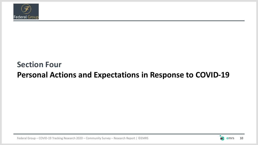

## **Section Four Personal Actions and Expectations in Response to COVID-19**

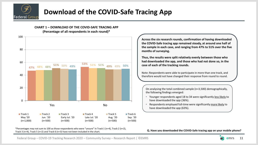

## **Download of the COVID-Safe Tracing App**



\*Percentages may not sum to 100 as those respondents who were "unsure" in Track 1 (n=4), Track 2 (n=2), Track 3 (n=4), Track 5 (n=2) and Track 6 (n=3) have not been included in the chart.

**Across the six research rounds, confirmation of having downloaded the COVID-Safe tracing app remained steady, at around one half of the sample in each case, and ranging from 47% to 51% over the five months of surveying.** 

**Thus, the results were split relatively evenly between those who had downloaded the app, and those who had not done so, in the case of each of the tracking rounds.** 

Note: Respondents were able to participate in more than one track, and therefore would not have changed their response from round to round.

On analysing the total combined sample (n=3,500) demographically, the following findings emerged:

- Younger respondents aged 18 to 34 were significantly less likely to have downloaded the app (36%).
- Respondents employed full-time were significantly more likely to have downloaded the app (63%).

**Q. Have you downloaded the COVID-Safe tracing app on your mobile phone?**

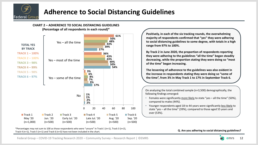





\*Percentages may not sum to 100 as those respondents who were "unsure" in Track 1 (n=1), Track 3 (n=2), Track 4 (n=1), Track 5 (n=1) and Track 6 (n=3) have not been included in the chart.

**Positively, in each of the six tracking rounds, the overwhelming majority of respondents confirmed that "yes" they were adhering to social distancing guidelines to some degree, with totals in a high range from 97% to 100%.** 

**By Track 2 in June 2020, the proportion of respondents reporting they were adhering to the guidelines "all the time" began steadily decreasing, while the proportion stating they were doing so "most of the time" began increasing.**

**The lessening of adherence to the guidelines was also evident in the increase in respondents stating they were doing so "some of the time", from 3% in May Track 1 to 17% in September Track 6.** 

On analysing the total combined sample (n=3,500) demographically, the following findings emerged:

- Females were significantly more likely to state "yes all the time" (50%), compared to males (44%).
- Younger respondents aged 18 to 44 years were significantly less likely to state "yes – all the time" (39%), compared to those aged 55 years and over (53%).

#### **Q. Are you adhering to social distancing guidelines?**

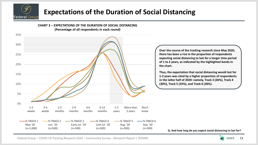

## **Expectations of the Duration of Social Distancing**



Federal Group – COVID-19 Tracking Research 2020 – Community Survey – Research Report | ©EMRS 13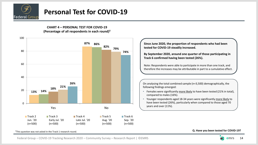

## **Personal Test for COVID-19**

**CHART 4 – PERSONAL TEST FOR COVID-19 (Percentage of all respondents in each round)†**



**Since June 2020, the proportion of respondents who had been tested for COVID-19 steadily increased. By September 2020, around one quarter of those participating in Track 6 confirmed having been tested (26%).** Note: Respondents were able to participate in more than one track, and therefore the increases may be attributable in part to a cumulative effect. On analysing the total combined sample (n=3,500) demographically, the following findings emerged: • Females were significantly more likely to have been tested (21% in total), compared to males (16%). • Younger respondents aged 18-34 years were significantly more likely to have been tested (26%), particularly when compared to those aged 70 years and over (11%).

#### †This question was not asked in the Track 1 research round.

**Q. Have you been tested for COVID-19?**

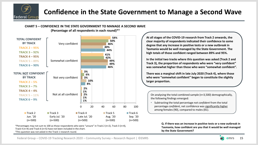

## **Confidence in the State Government to Manage a Second Wave**

### **CHART 5 – CONFIDENCE IN THE STATE GOVERNMENT TO MANAGE A SECOND WAVE**



**(Percentage of all respondents in each round)\*†**

\*Percentages may not sum to 100 as those respondents who were "unsure" in Track 2 (n=2), Track 3 (n=4), Track 4 (n=4) and Track 6 (n=5) have not been included in the chart. †This question was not asked in the Track 1 research round.

**At all stages of the COVID-19 research from Track 2 onwards, the clear majority of respondents indicated their confidence to some degree that any increase in positive tests or a new outbreak in Tasmania would be well managed by the State Government. The high totals of those confident ranged between 89% and 95%.**

**In the initial two tracks where this question was asked (Track 2 and Track 3), the proportion of respondents who were "very confident" was somewhat higher than those who were "somewhat confident".**

**There was a marginal shift in late July 2020 (Track 4), where those who were "somewhat confident" began to constitute the slightly larger proportion.**

On analysing the total combined sample (n=3,500) demographically, the following findings emerged:

• Subtracting the total percentage *not confident* from the total percentage *confident*, net confidence was significantly higher among females (90), compared to males (81).

> **Q. If there was an increase in positive tests or a new outbreak in Tasmania, how confident are you that it would be well managed by the State Government?**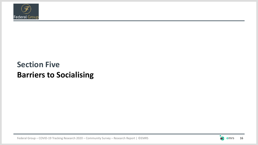

## **Section Five Barriers to Socialising**

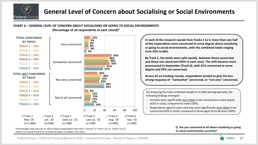

## **General Level of Concern about Socialising or Social Environments**

### **CHART 6 – GENERAL LEVEL OF CONCERN ABOUT SOCIALISING OR GOING TO SOCIAL ENVIRONMENTS**



**(Percentage of all respondents in each round)\***

\*Percentages may not sum to 100 as those respondents who were "unsure" in Track 1 (n=2), Track 3 (n=1), Track 5 (n=1) and Track 6 (n=1) have not been included in the chart.

**In each of the research rounds from Tracks 1 to 4, more than one half of the respondents were concerned to some degree about socialising or going to social environments, with the combined totals ranging from 54% to 66%.** 

**By Track 5, the totals were split equally between those concerned and those not concerned (50% in each case). The shift became more pronounced in September (Track 6), with 41% concerned to some degree and 59% not concerned.**

**Across all six tracking rounds, respondents tended to give the less strong response of "somewhat" concerned, or "not very" concerned.** 

On analysing the total combined sample (n=3,500) demographically, the following findings emerged:

- Females were significantly more likely to be concerned to some degree (62% in total), compared to males (50%).
- Respondents aged 55 years and over were significantly more likely to be concerned (63% in total), compared to those aged 18 to 44 years (49%).

#### **Q. Are you concerned at all about socialising or going to social environments currently?**

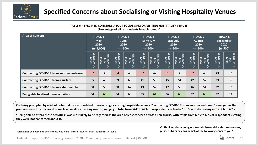

### **Specified Concerns about Socialising or Visiting Hospitality Venues**

| <u> TABLE 6 – SPECIFIED CONCERNS ABOUT SOCIALISING OR VISITING HOSPITALITY VENUES</u><br>(Percentage of all respondents in each round)* |                    |                                                     |                    |                                             |                    |                                                          |                    |                                                 |                           |                                                      |                            |                                                         |
|-----------------------------------------------------------------------------------------------------------------------------------------|--------------------|-----------------------------------------------------|--------------------|---------------------------------------------|--------------------|----------------------------------------------------------|--------------------|-------------------------------------------------|---------------------------|------------------------------------------------------|----------------------------|---------------------------------------------------------|
| <b>Area of Concern</b>                                                                                                                  |                    | <b>TRACK 1</b><br><b>May</b><br>2020<br>$(n=1,000)$ |                    | <b>TRACK 2</b><br>June<br>2020<br>$(n=500)$ |                    | <b>TRACK 3</b><br><b>Early July</b><br>2020<br>$(n=500)$ |                    | <b>TRACK4</b><br>Late July<br>2020<br>$(n=500)$ |                           | <b>TRACK 5</b><br><b>August</b><br>2020<br>$(n=500)$ |                            | <b>TRACK 6</b><br><b>September</b><br>2020<br>$(n=500)$ |
|                                                                                                                                         | TOTAL<br>CONCERNED | TOTAL<br><u>NOT</u><br>CONCERNED                    | TOTAL<br>CONCERNED | <b>CONCERNED</b><br>TOTAL<br>$\frac{1}{2}$  | TOTAL<br>CONCERNED | TOTAL<br>NOT<br>CONCERNED<br>$\overline{C}$              | TOTAL<br>CONCERNED | TOTAL<br>NOT<br>CONCERNED                       | CONCERNED<br><b>TOTAL</b> | TOTAL<br>NOT<br>CONCERNED<br>$\overline{C}$          | TOTAL<br>CONCERNE <u>D</u> | TOTAL<br><u>NOT</u><br>CONCERNED                        |
| <b>Contracting COVID-19 from another customer</b>                                                                                       | 67                 | 33                                                  | 54                 | 46                                          | 57                 | 42                                                       | 61                 | 39                                              | 57                        | 43                                                   | 43                         | 57                                                      |
| <b>Contracting COVID-19 from a surface</b>                                                                                              | 55                 | 45                                                  | 39                 | 60                                          | 41                 | 59                                                       | 45                 | 54                                              | 42                        | 57                                                   | 33                         | 66                                                      |
| <b>Contracting COVID-19 from a staff member</b>                                                                                         | 50                 | 50                                                  | 38                 | 62                                          | 43                 | 57                                                       | 47                 | 53                                              | 46                        | 54                                                   | 32                         | 67                                                      |
| Being able to afford these activities                                                                                                   | 34                 | 65                                                  | 34                 | 65                                          | 35                 | 64                                                       | 36                 | 63                                              | 37                        | 63                                                   | 37                         | 63                                                      |

**TABLE 6 – SPECIFIED CONCERNS ABOUT SOCIALISING OR VISITING HOSPITALITY VENUES**

**On being prompted by a list of potential concerns related to socialising or visiting hospitality venues, "contracting COVID-19 from another customer" emerged as the primary cause for concern at some level in all six tracking rounds, ranging in total from 54% to 67% of respondents in Tracks 1 to 5, and decreasing in Track 6 to 43%.** 

**"Being able to afford these activities" was most likely to be regarded as the area of least concern across all six tracks, with totals from 63% to 65% of respondents stating they were not concerned about it.** 

\*Percentages do not sum to 100 as those who were "unsure" have not been included in this table.

**Q. Thinking about going out to socialise or visit cafes, restaurants, pubs, clubs or casinos, which of the following concern you?**

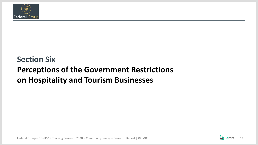

## **Section Six Perceptions of the Government Restrictions on Hospitality and Tourism Businesses**

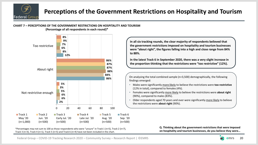

## **Perceptions of the Government Restrictions on Hospitality and Tourism**

#### **CHART 7 – PERCEPTIONS OF THE GOVERNMENT RESTRICTIONS ON HOSPITALITY AND TOURISM (Percentage of all respondents in each round)\***



\*Percentages may not sum to 100 as those respondents who were "unsure" in Track 1 (n=5), Track 2 (n=7), Track 3 (n=3), Track 4 (n=1), Track 5 (n=5) and Track 6 (n=4) have not been included in the chart.

**In all six tracking rounds, the clear majority of respondents believed that the government restrictions imposed on hospitality and tourism businesses were "about right", the figures falling into a high and close range from 84% to 88%.**

**In the latest Track 6 in September 2020, there was a very slight increase in the proportion thinking that the restrictions were "too restrictive" (12%).**

On analysing the total combined sample (n=3,500) demographically, the following findings emerged:

- Males were significantly more likely to believe the restrictions were **too restrictive** (12% in total), compared to females (4%).
- Females were significantly more likely to believe the restrictions were **about right**  (90%), compared to males (83%).
- Older respondents aged 70 years and over were significantly more likely to believe the restrictions were **about right** (90%).

**Q. Thinking about the government restrictions that were imposed on hospitality and tourism businesses, do you believe they were…**

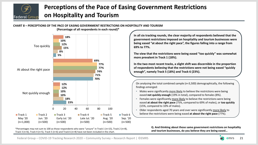

## **Perceptions of the Pace of Easing Government Restrictions on Hospitality and Tourism**



**CHART 8 – PERCEPTIONS OF THE PACE OF EASING GOVERNMENT RESTRICTIONS ON HOSPITALITY AND TOURISM**

\*Percentages may not sum to 100 as those respondents who were "unsure" in Track 1 (n=15), Track 2 (n=8), Track 3 (n=6), Track 4 (n=5), Track 5 (n=6) and Track 6 (n=8) have not been included in the chart.

**In all six tracking rounds, the clear majority of respondents believed that the government restrictions imposed on hospitality and tourism businesses were being eased "at about the right pace", the figures falling into a range from 69% to 77%.** 

**The view that the restrictions were being eased "too quickly" was somewhat more prevalent in Track 1 (18%).**

**In the two most recent tracks, a slight shift was discernible in the proportion of respondents believing that the restrictions were not being eased "quickly enough", namely Track 5 (18%) and Track 6 (23%).**

On analysing the total combined sample (n=3,500) demographically, the following findings emerged:

- Males were significantly more likely to believe the restrictions were being eased **not quickly enough** (19% in total), compared to females (8%).
- Females were significantly more likely to believe the restrictions were being eased **at about the right pace** (75%, compared to 69% of males), or **too quickly**  (15%, compared to 10% of males).
- Older respondents aged 70 years and over were significantly more likely to believe the restrictions were being eased **at about the right pace** (77%).

**Q. And thinking about those same government restrictions on hospitality and tourism businesses, do you believe they are being eased…**

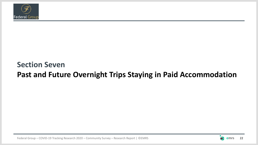

## **Section Seven Past and Future Overnight Trips Staying in Paid Accommodation**

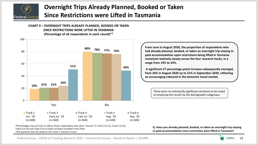

## **Overnight Trips Already Planned, Booked or Taken Since Restrictions were Lifted in Tasmania**

**CHART 9 – OVERNIGHT TRIPS ALREADY PLANNED, BOOKED OR TAKEN SINCE RESTRICTIONS WERE LIFTED IN TASMANIA (Percentage of all respondents in each round)\*†**



**From June to August 2020, the proportion of respondents who had already planned, booked, or taken an overnight trip staying in paid accommodation upon restrictions being lifted in Tasmania remained relatively steady across the four research tracks, in a range from 19% to 24%.**

**A significant 27 percentage-point increase subsequently emerged, from 24% in August 2020 up to 51% in September 2020, reflecting an encouraging rebound in the domestic travel market.** 

There were no statistically significant variations to be noted on analysing the results by the demographic subgroups.

\*Percentages may not sum to 100 as those respondents who were "unsure" in Track 2 (n=2), Track 3 (n=5), Track 4 (n=3) and Track 5 (n=1) have not been included in the chart.

†This question was not asked in the Track 1 research round.

**Q. Have you already planned, booked, or taken an overnight trip staying in paid accommodation since restrictions were lifted in Tasmania?**

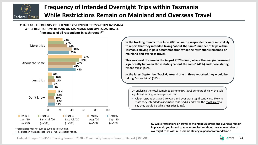

## **Frequency of Intended Overnight Trips within Tasmania While Restrictions Remain on Mainland and Overseas Travel**

#### **CHART 10 – FREQUENCY OF INTENDED OVERNIGHT TRIPS WITHIN TASMANIA WHILE RESTRICTIONS REMAIN ON MAINLAND AND OVERSEAS TRAVEL (Percentage of all respondents in each round)\*†**



†This question was not asked in the Track 1 research round.

**In the tracking rounds from June 2020 onwards, respondents were most likely to report that they intended taking "about the same" number of trips within Tasmania staying in paid accommodation while the restrictions remained on mainland and overseas travel.**

**This was least the case in the August 2020 round, where the margin narrowed significantly between those stating "about the same" (41%) and those stating "more trips" (40%).** 

**In the latest September Track 6, around one in three reported they would be taking "more trips" (35%).**

On analysing the total combined sample (n=3,500) demographically, the sole significant finding to emerge was that:

• Older respondents aged 70 years and over were significantly less likely to state they intended taking **more trips** (25%), and were the most likely to say they would be taking **less trips** (13%).

> **Q. While restrictions on travel to mainland Australia and overseas remain in place, do you intend to take more, less or about the same number of overnight trips within Tasmania staying in paid accommodation?**

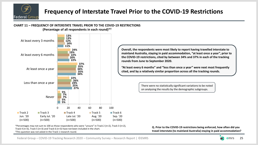

### **Frequency of Interstate Travel Prior to the COVID-19 Restrictions**



\*Percentages may not sum to 100 as those respondents who were "unsure" in Track 2 (n=2), Track 3 (n=2), Track 4 (n=3), Track 5 (n=3) and Track 6 (n=3) have not been included in the chart. †This question was not asked in the Track 1 research round.

**Q. Prior to the COVID-19 restrictions being enforced, how often did you travel interstate (to mainland Australia) staying in paid accommodation?** 

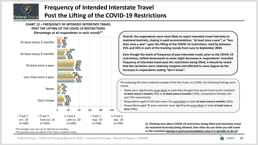

## **Frequency of Intended Interstate Travel Post the Lifting of the COVID-19 Restrictions**

**CHART 12 – FREQUENCY OF INTENDED INTERSTATE TRAVEL POST THE LIFTING OF THE COVID-19 RESTRICTIONS (Percentage of all respondents in each round)\*†**



†This question was not asked in the Track 1 research round.

**Overall, the respondents were most likely to report intended travel interstate to mainland Australia, staying in paid accommodation, "at least once a year", or "less than once a year" upon the lifting of the COVID-19 restrictions, cited by between 25% and 34% in each of the tracking rounds from June to September 2020.**

**Even though the levels of frequency of past interstate travel, prior to the COVID-19 restrictions, shifted downwards to some slight decreases in respondents' intended frequency of interstate travel post the restrictions being lifted, it should be noted that the variations were relatively marginal and affected to some degree by the increases in respondents stating "don't know".** 

On analysing the total combined sample of the five tracks (n=2,500), the following findings were noted:

- Males were significantly more likely to state they thought they would travel to the mainland **at least every 3 months** (9%) or **at least every 6 months** (19%), compared to females (5% and 12% respectively).
- Respondents aged 55-69 years were the most likely to state **at least every 6 months** (20%).
- Respondents aged 70 years and over were significantly more likely to state **at least once a year** (39%).

**Q. Thinking now about COVID-19 restrictions being lifted and interstate travel (to mainland Australia) being allowed, how often do you think you will travel to the mainland staying in paid accommodation once it is possible to do so?**

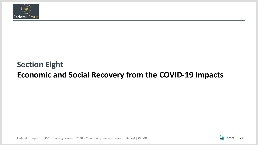

## **Section Eight Economic and Social Recovery from the COVID-19 Impacts**

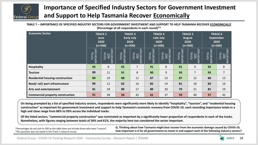

## **Importance of Specified Industry Sectors for Government Investment and Support to Help Tasmania Recover Economically**

| (Percentage of all respondents in each round)* <sup>†</sup> |                                             |                                   |                          |                                                          |                   |                                                  |                              |                                                                                                        |                                |                                                  |  |  |  |
|-------------------------------------------------------------|---------------------------------------------|-----------------------------------|--------------------------|----------------------------------------------------------|-------------------|--------------------------------------------------|------------------------------|--------------------------------------------------------------------------------------------------------|--------------------------------|--------------------------------------------------|--|--|--|
| <b>Economic Sector</b>                                      | <b>TRACK 2</b><br>June<br>2020<br>$(n=500)$ |                                   |                          | <b>TRACK 3</b><br><b>Early July</b><br>2020<br>$(n=500)$ |                   | <b>TRACK 4</b><br>Late July<br>2020<br>$(n=500)$ |                              | <b>TRACK 5</b><br><b>August</b><br>2020<br>$(n=500)$                                                   |                                | <b>TRACK 6</b><br>September<br>2020<br>$(n=500)$ |  |  |  |
|                                                             | Z<br><b>IPORTAM</b><br>₹<br>5<br>Σ,         | <b>TOTAL</b><br><b>PORTA</b><br>≅ | MPORTANT<br><b>TOTAL</b> | TOTAL<br><u>NOT</u><br>IMPORTANT                         | MPORTANT<br>TOTAL | TOTAL<br>NOT<br>IMPORTANT                        | PORTANT<br><b>TOTAL</b><br>Σ | $\begin{array}{ c } \hline & \underline{\mathtt{NOT}} \\ \hline \end{array}$ IMPORTANT<br><b>TOTAL</b> | TOTAL<br>IPORTAN <u>T</u><br>Σ | <b>TOTAL</b><br>PORT                             |  |  |  |
| <b>Hospitality</b>                                          | 92                                          | 8                                 | 92                       | $\overline{7}$                                           | 91                | 8                                                | 91                           | 9                                                                                                      | 92                             | 8                                                |  |  |  |
| <b>Tourism</b>                                              | 89                                          | 11                                | 91                       | 8                                                        | 90                | 9                                                | 93                           | 7                                                                                                      | 93                             | $\overline{7}$                                   |  |  |  |
| <b>Residential housing construction</b>                     | 89                                          | 10                                | 88                       | 11                                                       | 87                | 13                                               | 87                           | 12                                                                                                     | 86                             | 13                                               |  |  |  |
| Road/rail/port infrastructure                               | 86                                          | 12                                | 82                       | 16                                                       | 85                | 14                                               | 81                           | 18                                                                                                     | 83                             | 16                                               |  |  |  |
| <b>Arts and entertainment</b>                               | 81                                          | 18                                | 80                       | 17                                                       | 80                | 20                                               | 79                           | 21                                                                                                     | 81                             | 19                                               |  |  |  |
| <b>Commercial property construction</b>                     | 61                                          | 38                                | 56                       | 42                                                       | 61                | 37                                               | 59                           | 40                                                                                                     | 57                             | 42                                               |  |  |  |

**TABLE 7 – IMPORTANCE OF SPECIFIED INDUSTRY SECTORS FOR GOVERNMENT INVESTMENT AND SUPPORT TO HELP TASMANIA RECOVER ECONOMICALLY (Percentage of all respondents in each round)\*†**

**On being prompted by a list of specified industry sectors, respondents were significantly more likely to identify "hospitality", "tourism", and "residential housing construction" as important for government investment and support to help Tasmania's economic recovery from COVID-19, each recording importance totals in a high and close range from 86% to 93% across the individual tracks.**

**Of the listed sectors, "commercial property construction" was nominated as important by a significantly lower proportion of respondents in each of the tracks. Nonetheless, with figures ranging between totals of 56% and 61%, the majority here too considered the sector important.**

\*Percentages do not sum to 100 as the table does not include those who were "unsure". †This question was not asked in the Track 1 research round.

**Q. Thinking about how Tasmania might best recover from the economic damage caused by COVID-19, how important is it for all governments to invest in and support each of the following industry sectors?** 

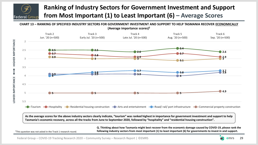

## **Ranking of Industry Sectors for Government Investment and Support from Most Important (1) to Least Important (6) – Average Scores**

**CHART 13 – RANKING OF SPECIFIED INDUSTRY SECTORS FOR GOVERNMENT INVESTMENT AND SUPPORT TO HELP TASMANIA RECOVER ECONOMICALLY (Average importance scores)†**



**As the average scores for the above industry sectors clearly indicate, "tourism" was ranked highest in importance for government investment and support to help Tasmania's economic recovery, across all the tracks from June to September 2020, followed by "hospitality" and "residential housing construction".**

†This question was not asked in the Track 1 research round.

**Q. Thinking about how Tasmania might best recover from the economic damage caused by COVID-19, please rank the following industry sectors from most important (1) to least important (6) for governments to invest in and support.**

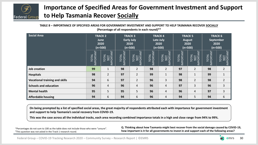

## **Importance of Specified Areas for Government Investment and Support to Help Tasmania Recover Socially**

| (Percentage of all respondents in each round) $*$ <sup>T</sup> |                                                            |                                             |                                     |                           |                                  |                                                  |                    |                                              |                        |                                                  |  |  |  |
|----------------------------------------------------------------|------------------------------------------------------------|---------------------------------------------|-------------------------------------|---------------------------|----------------------------------|--------------------------------------------------|--------------------|----------------------------------------------|------------------------|--------------------------------------------------|--|--|--|
| <b>Social Area</b>                                             |                                                            | <b>TRACK 2</b><br>June<br>2020<br>$(n=500)$ | <b>TRACK 3</b><br><b>Early July</b> | 2020<br>$(n=500)$         |                                  | <b>TRACK 4</b><br>Late July<br>2020<br>$(n=500)$ | 2020               | <b>TRACK 5</b><br><b>August</b><br>$(n=500)$ |                        | <b>TRACK 6</b><br>September<br>2020<br>$(n=500)$ |  |  |  |
|                                                                | PORTANT<br><b>TOTAL</b><br>$\overline{\underline{\Sigma}}$ | TOTAL<br><u>NOT</u><br>IMPORTANT            | TOTAL<br>IMPORTA <u>NT</u>          | Ξ<br>NORTAI<br>TOTAL<br>Σ | <b>IMPORTANT</b><br><b>TOTAL</b> | NPORTANT<br><b>TOTAL</b>                         | TOTAL<br>IMPORTANT | TOTAL<br>NOT<br>IMPORTANT                    | TOTAL<br>IPORTANT<br>Σ | TOTAL<br><b>NOT</b><br><b>IMPORTA</b>            |  |  |  |
| <b>Job creation</b>                                            | 99                                                         | $\mathbf{1}$                                | 98                                  | $\overline{2}$            | 98                               | $\overline{2}$                                   | 97                 | $\overline{2}$                               | 98                     | $\overline{2}$                                   |  |  |  |
| <b>Hospitals</b>                                               | 98                                                         | $\overline{2}$                              | 97                                  | $\overline{2}$            | 99                               | $\mathbf{1}$                                     | 98                 | $\mathbf{1}$                                 | 99                     | $\mathbf{1}$                                     |  |  |  |
| <b>Vocational training and skills</b>                          | 94                                                         | 6                                           | 97                                  | $\overline{2}$            | 96                               | 3                                                | 98                 | $\overline{2}$                               | 98                     | $\overline{2}$                                   |  |  |  |
| <b>Schools and education</b>                                   | 96                                                         | 4                                           | 96                                  | 4                         | 96                               | $\overline{4}$                                   | 97                 | 3                                            | 96                     | 3                                                |  |  |  |
| <b>Mental health</b>                                           | 95                                                         | 5                                           | 95                                  | 5                         | 96                               | 4                                                | 96                 | 4                                            | 97                     | 3                                                |  |  |  |
| <b>Affordable housing</b>                                      | 94                                                         | 6                                           | 94                                  | 6                         | 96                               | 4                                                | 94                 | 5                                            | 94                     | 6                                                |  |  |  |

**TABLE 8 – IMPORTANCE OF SPECIFIED AREAS FOR GOVERNMENT INVESTMENT AND SUPPORT TO HELP TASMANIA RECOVER SOCIALLY (Percentage of all respondents in each round)\*†**

**On being prompted by a list of specified social areas, the great majority of respondents attributed each with importance for government investment and support to help Tasmania's social recovery from COVID-19.** 

**This was the case across all the individual tracks, each area recording combined importance totals in a high and close range from 94% to 99%.** 

\*Percentages do not sum to 100 as the table does not include those who were "unsure". †This question was not asked in the Track 1 research round.

**Q. Thinking about how Tasmania might best recover from the social damage caused by COVID-19, how important is it for all governments to invest in and support each of the following areas?** 

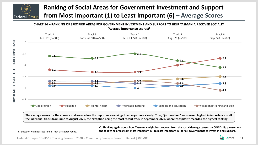### **Ranking of Social Areas for Government Investment and Support from Most Important (1) to Least Important (6) – Average Scores Federal Group**



**The average scores for the above social areas allow the importance rankings to emerge more clearly. Thus, "job creation" was ranked highest in importance in all the individual tracks from June to August 2020, the exception being the most recent track in September 2020, where "hospitals" recorded the highest ranking.** 

> **Q. Thinking again about how Tasmania might best recover from the social damage caused by COVID-19, please rank the following areas from most important (1) to least important (6) for all governments to invest in and support.**

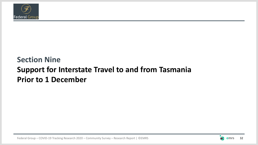

## **Section Nine Support for Interstate Travel to and from Tasmania Prior to 1 December**

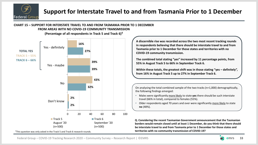

#### **CHART 15 – SUPPORT FOR INTERSTATE TRAVEL TO AND FROM TASMANIA PRIOR TO 1 DECEMBER FROM AREAS WITH NO COVID-19 COMMUNITY TRANSMISSION**



**(Percentage of all respondents in Track 5 and Track 6)†**

†This question was only asked in the Track 5 and Track 6 research rounds.

**A discernible rise was recorded across the two most recent tracking rounds in respondents believing that there should be interstate travel to and from Tasmania prior to 1 December for those states and territories with no COVID-19 community transmission.**

**The combined total stating "yes" increased by 11 percentage points, from 55% in August Track 5 to 66% in September Track 6.**

**Within these totals, the greatest shift was in those stating "yes – definitely", from 16% in August Track 5 up to 27% in September Track 6.**

On analysing the total combined sample of the two tracks (n=1,000) demographically, the following findings emerged:

- Males were significantly more likely to state **yes** there should be such interstate travel (66% in total), compared to females (55%).
- Older respondents aged 70 years and over were significantly more likely to state **no** (48%).

**Q. Considering the recent Tasmanian Government announcement that the Tasmanian borders would remain closed until at least 1 December, do you think that there should be interstate travel to and from Tasmania prior to 1 December for those states and territories with no community transmission of COVID-19?**

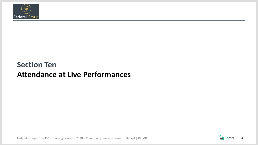

## **Section Ten Attendance at Live Performances**

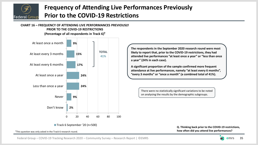

## **Frequency of Attending Live Performances Previously Prior to the COVID-19 Restrictions**

### **CHART 16 – FREQUENCY OF ATTENDING LIVE PERFORMANCES PREVIOUSLY PRIOR TO THE COVID-19 RESTRICTIONS**



**The respondents in the September 2020 research round were most likely to report that, prior to the COVID-19 restrictions, they had attended live performances "at least once a year" or "less than once a year" (24% in each case).** 

**A significant proportion of the sample confirmed more frequent attendance at live performances, namely "at least every 6 months", "every 3 months" or "once a month" (a combined total of 41%).** 

> There were no statistically significant variations to be noted on analysing the results by the demographic subgroups.

■ Track 6 September '20 (n=500)

†This question was only asked in the Track 6 research round.

**Q. Thinking back prior to the COVID-19 restrictions, how often did you attend live performances?**

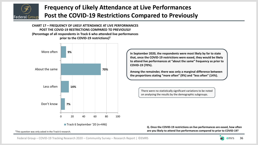

## **Frequency of Likely Attendance at Live Performances Post the COVID-19 Restrictions Compared to Previously**

**CHART 17 – FREQUENCY OF LIKELY ATTENDANCE AT LIVE PERFORMANCES POST THE COVID-19 RESTRICTIONS COMPARED TO PREVIOUSLY (Percentage of all respondents in Track 6 who attended live performances prior to the COVID-19 restrictions)†**



**In September 2020, the respondents were most likely by far to state that, once the COVID-19 restrictions were eased, they would be likely to attend live performances at "about the same" frequency as prior to COVID-19 (70%).**

**Among the remainder, there was only a marginal difference between the proportions stating "more often" (9%) and "less often" (14%).** 

> There were no statistically significant variations to be noted on analysing the results by the demographic subgroups.

**Q. Once the COVID-19 restrictions on live performances are eased, how often are you likely to attend live performances compared to prior to COVID-19?** 

†This question was only asked in the Track 6 research.